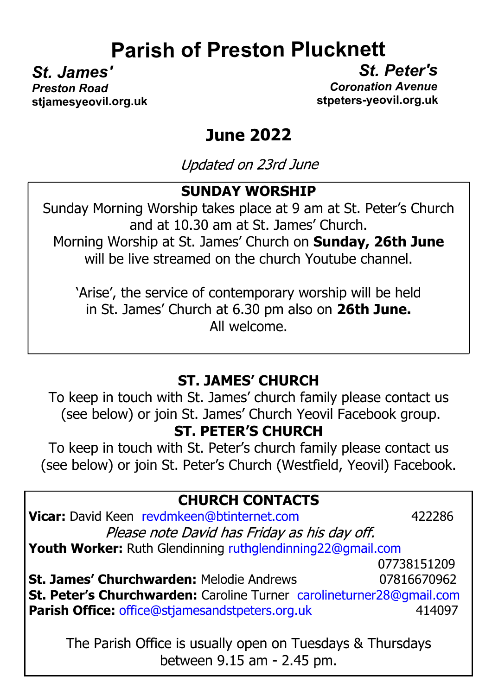# **Parish of Preston Plucknett**

*St. James' St. Peter's*

**Preston Road Coronation Avenue stjamesyeovil.org.uk stpeters-yeovil.org.uk**

# **June 2022**

Updated on 23rd June

#### **SUNDAY WORSHIP**

Sunday Morning Worship takes place at 9 am at St. Peter's Church and at 10.30 am at St. James' Church. Morning Worship at St. James' Church on **Sunday, 26th June** will be live streamed on the church Youtube channel.

'Arise', the service of contemporary worship will be held in St. James' Church at 6.30 pm also on **26th June.** All welcome.

### **ST. JAMES' CHURCH**

To keep in touch with St. James' church family please contact us (see below) or join St. James' Church Yeovil Facebook group.

#### **ST. PETER'S CHURCH**

To keep in touch with St. Peter's church family please contact us (see below) or join St. Peter's Church (Westfield, Yeovil) Facebook.

| <b>CHURCH CONTACTS</b> |  |
|------------------------|--|
| .                      |  |

| Vicar: David Keen revdmkeen@btinternet.com                           | 422286      |  |  |
|----------------------------------------------------------------------|-------------|--|--|
| Please note David has Friday as his day off.                         |             |  |  |
| Youth Worker: Ruth Glendinning ruthglendinning22@gmail.com           |             |  |  |
|                                                                      | 07738151209 |  |  |
| <b>St. James' Churchwarden: Melodie Andrews</b>                      | 07816670962 |  |  |
| St. Peter's Churchwarden: Caroline Turner carolineturner28@gmail.com |             |  |  |
| <b>Parish Office: office@stjamesandstpeters.org.uk</b>               | 414097      |  |  |
|                                                                      |             |  |  |

The Parish Office is usually open on Tuesdays & Thursdays between 9.15 am - 2.45 pm.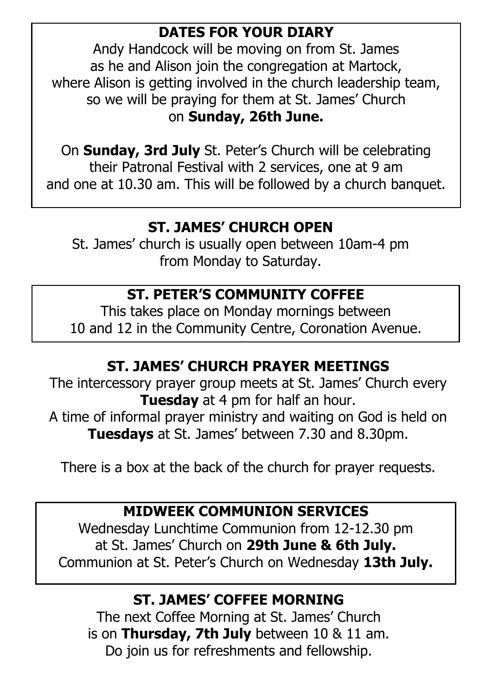### **DATES FOR YOUR DIARY**

Andy Handcock will be moving on from St. James as he and Alison join the congregation at Martock, where Alison is getting involved in the church leadership team, so we will be praying for them at St. James' Church on **Sunday, 26th June.**

On **Sunday, 3rd July** St. Peter's Church will be celebrating their Patronal Festival with 2 services, one at 9 am and one at 10.30 am. This will be followed by a church banquet.

# **ST. JAMES' CHURCH OPEN**

St. James' church is usually open between 10am-4 pm from Monday to Saturday.

# **ST. PETER'S COMMUNITY COFFEE**

This takes place on Monday mornings between 10 and 12 in the Community Centre, Coronation Avenue.

# **ST. JAMES' CHURCH PRAYER MEETINGS**

The intercessory prayer group meets at St. James' Church every **Tuesday** at 4 pm for half an hour. A time of informal prayer ministry and waiting on God is held on **Tuesdays** at St. James' between 7.30 and 8.30pm.

There is a box at the back of the church for prayer requests.

## **MIDWEEK COMMUNION SERVICES**

Wednesday Lunchtime Communion from 12-12.30 pm at St. James' Church on **29th June & 6th July.** Communion at St. Peter's Church on Wednesday **13th July.**

## **ST. JAMES' COFFEE MORNING**

The next Coffee Morning at St. James' Church is on **Thursday, 7th July** between 10 & 11 am. Do join us for refreshments and fellowship.